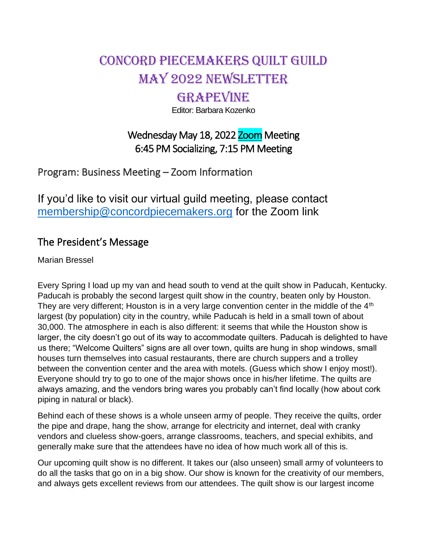# Concord Piecemakers Quilt Guild may 2022 Newsletter

## **GRAPEVINE**

Editor: Barbara Kozenko

## Wednesday May 18, 2022 Zoom Meeting 6:45 PM Socializing, 7:15 PM Meeting

Program: Business Meeting – Zoom Information

If you'd like to visit our virtual guild meeting, please contact [membership@concordpiecemakers.org](mailto:membership@concordpiecemakers.org) for the Zoom link

## The President's Message

Marian Bressel

Every Spring I load up my van and head south to vend at the quilt show in Paducah, Kentucky. Paducah is probably the second largest quilt show in the country, beaten only by Houston. They are very different; Houston is in a very large convention center in the middle of the 4<sup>th</sup> largest (by population) city in the country, while Paducah is held in a small town of about 30,000. The atmosphere in each is also different: it seems that while the Houston show is larger, the city doesn't go out of its way to accommodate quilters. Paducah is delighted to have us there; "Welcome Quilters" signs are all over town, quilts are hung in shop windows, small houses turn themselves into casual restaurants, there are church suppers and a trolley between the convention center and the area with motels. (Guess which show I enjoy most!). Everyone should try to go to one of the major shows once in his/her lifetime. The quilts are always amazing, and the vendors bring wares you probably can't find locally (how about cork piping in natural or black).

Behind each of these shows is a whole unseen army of people. They receive the quilts, order the pipe and drape, hang the show, arrange for electricity and internet, deal with cranky vendors and clueless show-goers, arrange classrooms, teachers, and special exhibits, and generally make sure that the attendees have no idea of how much work all of this is.

Our upcoming quilt show is no different. It takes our (also unseen) small army of volunteers to do all the tasks that go on in a big show. Our show is known for the creativity of our members, and always gets excellent reviews from our attendees. The quilt show is our largest income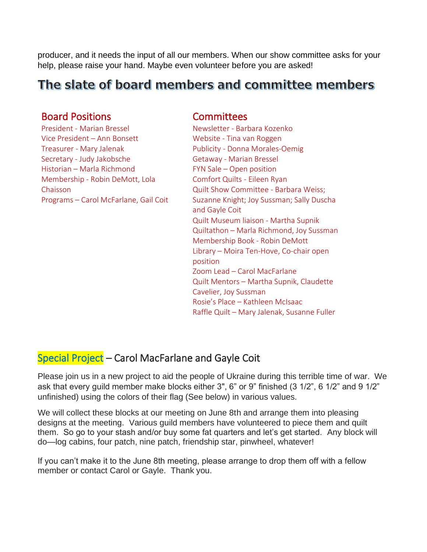producer, and it needs the input of all our members. When our show committee asks for your help, please raise your hand. Maybe even volunteer before you are asked!

## The slate of board members and committee members

#### Board Positions Committees

President - Marian Bressel Vice President – Ann Bonsett Treasurer - Mary Jalenak Secretary - Judy Jakobsche Historian – Marla Richmond Membership - Robin DeMott, Lola Chaisson Programs – Carol McFarlane, Gail Coit

Newsletter - Barbara Kozenko Website - Tina van Roggen Publicity - Donna Morales-Oemig Getaway - Marian Bressel FYN Sale – Open position Comfort Quilts - Eileen Ryan Quilt Show Committee - Barbara Weiss; Suzanne Knight; Joy Sussman; Sally Duscha and Gayle Coit Quilt Museum liaison - Martha Supnik Quiltathon – Marla Richmond, Joy Sussman Membership Book - Robin DeMott Library – Moira Ten-Hove, Co-chair open position Zoom Lead – Carol MacFarlane Quilt Mentors – Martha Supnik, Claudette Cavelier, Joy Sussman Rosie's Place – Kathleen McIsaac Raffle Quilt – Mary Jalenak, Susanne Fuller

#### Special Project – Carol MacFarlane and Gayle Coit

Please join us in a new project to aid the people of Ukraine during this terrible time of war. We ask that every guild member make blocks either 3", 6" or 9" finished (3 1/2", 6 1/2" and 9 1/2" unfinished) using the colors of their flag (See below) in various values.

We will collect these blocks at our meeting on June 8th and arrange them into pleasing designs at the meeting. Various guild members have volunteered to piece them and quilt them. So go to your stash and/or buy some fat quarters and let's get started. Any block will do—log cabins, four patch, nine patch, friendship star, pinwheel, whatever!

If you can't make it to the June 8th meeting, please arrange to drop them off with a fellow member or contact Carol or Gayle. Thank you.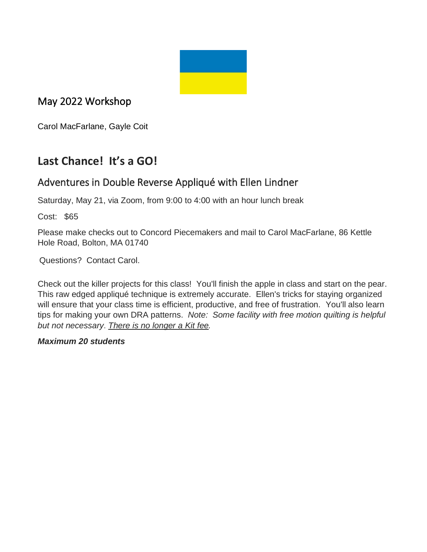

## May 2022 Workshop

Carol MacFarlane, Gayle Coit

## **Last Chance! It's a GO!**

### Adventures in Double Reverse Appliqué with Ellen Lindner

Saturday, May 21, via Zoom, from 9:00 to 4:00 with an hour lunch break

Cost: \$65

Please make checks out to Concord Piecemakers and mail to Carol MacFarlane, 86 Kettle Hole Road, Bolton, MA 01740

Questions? Contact Carol.

Check out the killer projects for this class! You'll finish the apple in class and start on the pear. This raw edged appliqué technique is extremely accurate. Ellen's tricks for staying organized will ensure that your class time is efficient, productive, and free of frustration. You'll also learn tips for making your own DRA patterns. *Note: Some facility with free motion quilting is helpful but not necessary*. *There is no longer a Kit fee.*

#### *Maximum 20 students*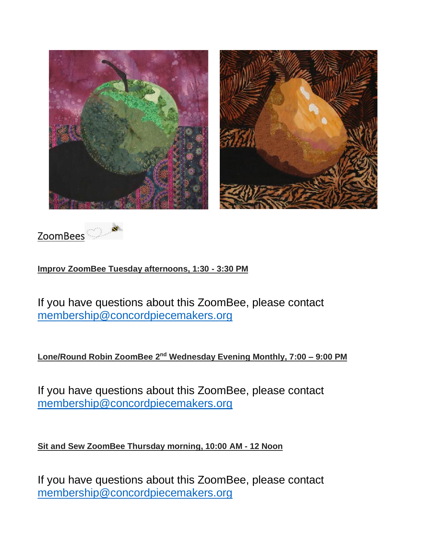



**Improv ZoomBee Tuesday afternoons, 1:30 - 3:30 PM**

If you have questions about this ZoomBee, please contact [membership@concordpiecemakers.org](mailto:membership@concordpiecemakers.org)

**Lone/Round Robin ZoomBee 2<sup>nd</sup> Wednesday Evening Monthly, 7:00 - 9:00 PM** 

If you have questions about this ZoomBee, please contact [membership@concordpiecemakers.org](mailto:membership@concordpiecemakers.org)

**Sit and Sew ZoomBee Thursday morning, 10:00 AM - 12 Noon**

If you have questions about this ZoomBee, please contact [membership@concordpiecemakers.org](mailto:membership@concordpiecemakers.org)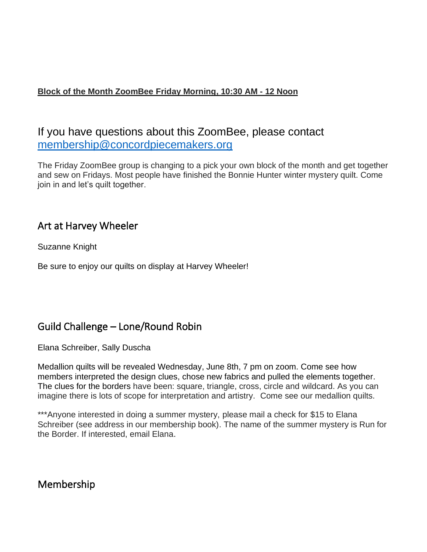#### **Block of the Month ZoomBee Friday Morning, 10:30 AM - 12 Noon**

### If you have questions about this ZoomBee, please contact [membership@concordpiecemakers.org](mailto:membership@concordpiecemakers.org)

The Friday ZoomBee group is changing to a pick your own block of the month and get together and sew on Fridays. Most people have finished the Bonnie Hunter winter mystery quilt. Come join in and let's quilt together.

#### Art at Harvey Wheeler

Suzanne Knight

Be sure to enjoy our quilts on display at Harvey Wheeler!

#### Guild Challenge – Lone/Round Robin

Elana Schreiber, Sally Duscha

Medallion quilts will be revealed Wednesday, June 8th, 7 pm on zoom. Come see how members interpreted the design clues, chose new fabrics and pulled the elements together. The clues for the borders have been: square, triangle, cross, circle and wildcard. As you can imagine there is lots of scope for interpretation and artistry. Come see our medallion quilts.

\*\*\*Anyone interested in doing a summer mystery, please mail a check for \$15 to Elana Schreiber (see address in our membership book). The name of the summer mystery is Run for the Border. If interested, email Elana.

Membership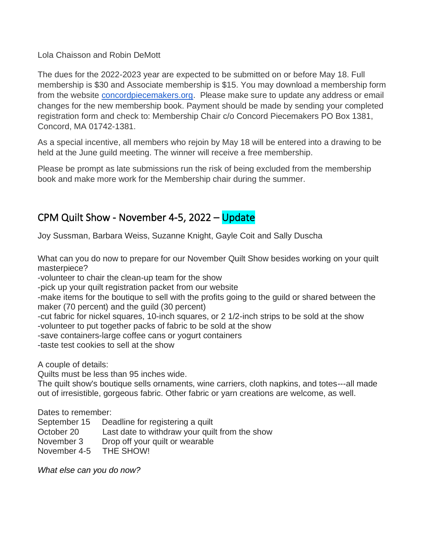Lola Chaisson and Robin DeMott

The dues for the 2022-2023 year are expected to be submitted on or before May 18. Full membership is \$30 and Associate membership is \$15. You may download a membership form from the website **[concordpiecemakers.org.](http://concordpiecemakers.org/)** Please make sure to update any address or email changes for the new membership book. Payment should be made by sending your completed registration form and check to: Membership Chair c/o Concord Piecemakers PO Box 1381, Concord, MA 01742-1381.

As a special incentive, all members who rejoin by May 18 will be entered into a drawing to be held at the June guild meeting. The winner will receive a free membership.

Please be prompt as late submissions run the risk of being excluded from the membership book and make more work for the Membership chair during the summer.

#### CPM Quilt Show - November 4-5, 2022 – Update

Joy Sussman, Barbara Weiss, Suzanne Knight, Gayle Coit and Sally Duscha

What can you do now to prepare for our November Quilt Show besides working on your quilt masterpiece?

-volunteer to chair the clean-up team for the show

-pick up your quilt registration packet from our website

-make items for the boutique to sell with the profits going to the guild or shared between the maker (70 percent) and the guild (30 percent)

-cut fabric for nickel squares, 10-inch squares, or 2 1/2-inch strips to be sold at the show -volunteer to put together packs of fabric to be sold at the show

-save containers-large coffee cans or yogurt containers

-taste test cookies to sell at the show

A couple of details:

Quilts must be less than 95 inches wide.

The quilt show's boutique sells ornaments, wine carriers, cloth napkins, and totes---all made out of irresistible, gorgeous fabric. Other fabric or yarn creations are welcome, as well.

Dates to remember:

September 15 Deadline for registering a quilt

- October 20 Last date to withdraw your quilt from the show
- November 3 Drop off your quilt or wearable
- November 4-5 THE SHOW!

*What else can you do now?*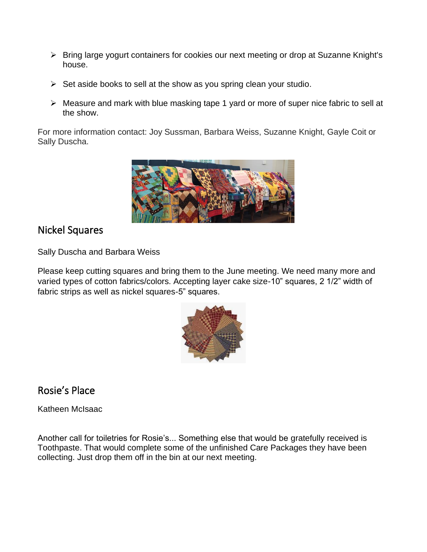- ➢ Bring large yogurt containers for cookies our next meeting or drop at Suzanne Knight's house.
- $\triangleright$  Set aside books to sell at the show as you spring clean your studio.
- ➢ Measure and mark with blue masking tape 1 yard or more of super nice fabric to sell at the show.

For more information contact: Joy Sussman, Barbara Weiss, Suzanne Knight, Gayle Coit or Sally Duscha.



#### Nickel Squares

Sally Duscha and Barbara Weiss

Please keep cutting squares and bring them to the June meeting. We need many more and varied types of cotton fabrics/colors. Accepting layer cake size-10" squares, 2 1/2" width of fabric strips as well as nickel squares-5" squares.



## Rosie's Place

Katheen McIsaac

Another call for toiletries for Rosie's... Something else that would be gratefully received is Toothpaste. That would complete some of the unfinished Care Packages they have been collecting. Just drop them off in the bin at our next meeting.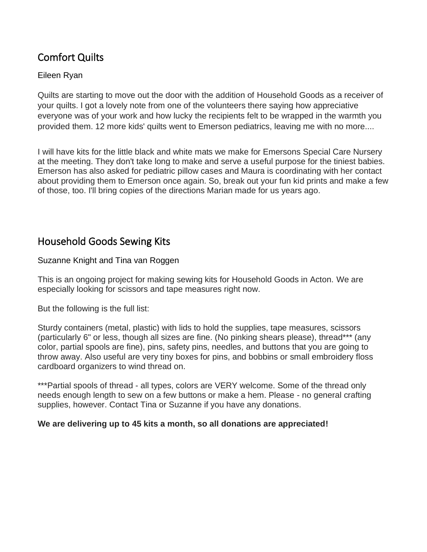## Comfort Quilts

#### Eileen Ryan

Quilts are starting to move out the door with the addition of Household Goods as a receiver of your quilts. I got a lovely note from one of the volunteers there saying how appreciative everyone was of your work and how lucky the recipients felt to be wrapped in the warmth you provided them. 12 more kids' quilts went to Emerson pediatrics, leaving me with no more....

I will have kits for the little black and white mats we make for Emersons Special Care Nursery at the meeting. They don't take long to make and serve a useful purpose for the tiniest babies. Emerson has also asked for pediatric pillow cases and Maura is coordinating with her contact about providing them to Emerson once again. So, break out your fun kid prints and make a few of those, too. I'll bring copies of the directions Marian made for us years ago.

#### Household Goods Sewing Kits

Suzanne Knight and Tina van Roggen

This is an ongoing project for making sewing kits for Household Goods in Acton. We are especially looking for scissors and tape measures right now.

But the following is the full list:

Sturdy containers (metal, plastic) with lids to hold the supplies, tape measures, scissors (particularly 6" or less, though all sizes are fine. (No pinking shears please), thread\*\*\* (any color, partial spools are fine), pins, safety pins, needles, and buttons that you are going to throw away. Also useful are very tiny boxes for pins, and bobbins or small embroidery floss cardboard organizers to wind thread on.

\*\*\*Partial spools of thread - all types, colors are VERY welcome. Some of the thread only needs enough length to sew on a few buttons or make a hem. Please - no general crafting supplies, however. Contact Tina or Suzanne if you have any donations.

#### **We are delivering up to 45 kits a month, so all donations are appreciated!**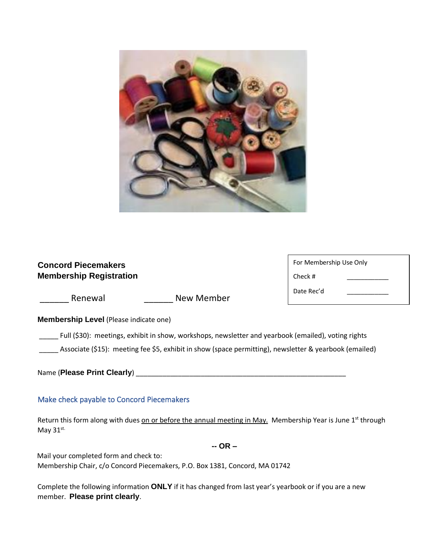

#### **Concord Piecemakers Membership Registration**

| For Membership Use Only |  |  |  |  |
|-------------------------|--|--|--|--|
| Check #                 |  |  |  |  |
| Date Rec'd              |  |  |  |  |

**Membership Level** (Please indicate one)

Renewal **Exercise Exercise Renewal** New Member

\_\_\_\_\_ Full (\$30): meetings, exhibit in show, workshops, newsletter and yearbook (emailed), voting rights

Associate (\$15): meeting fee \$5, exhibit in show (space permitting), newsletter & yearbook (emailed)

Name (**Please Print Clearly**) \_\_\_\_\_\_\_\_\_\_\_\_\_\_\_\_\_\_\_\_\_\_\_\_\_\_\_\_\_\_\_\_\_\_\_\_\_\_\_\_\_\_\_\_\_\_\_\_\_\_\_\_\_\_\_

#### Make check payable to Concord Piecemakers

Return this form along with dues on or before the annual meeting in May. Membership Year is June 1<sup>st</sup> through May 31st.

**-- OR –**

Mail your completed form and check to: Membership Chair, c/o Concord Piecemakers, P.O. Box 1381, Concord, MA 01742

Complete the following information **ONLY** if it has changed from last year's yearbook or if you are a new member. **Please print clearly**.